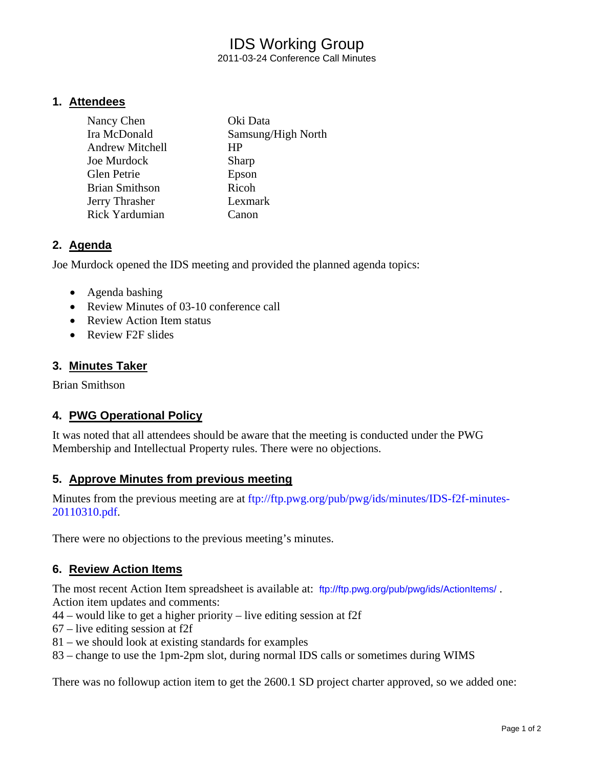# IDS Working Group 2011-03-24 Conference Call Minutes

**1. Attendees**

| Nancy Chen             | Oki Data           |
|------------------------|--------------------|
| Ira McDonald           | Samsung/High North |
| <b>Andrew Mitchell</b> | HР                 |
| Joe Murdock            | Sharp              |
| <b>Glen Petrie</b>     | Epson              |
| <b>Brian Smithson</b>  | Ricoh              |
| Jerry Thrasher         | Lexmark            |
| Rick Yardumian         | Canon              |

# **2. Agenda**

Joe Murdock opened the IDS meeting and provided the planned agenda topics:

- Agenda bashing
- Review Minutes of 03-10 conference call
- Review Action Item status
- Review F2F slides

# **3. Minutes Taker**

Brian Smithson

# **4. PWG Operational Policy**

It was noted that all attendees should be aware that the meeting is conducted under the PWG Membership and Intellectual Property rules. There were no objections.

# **5. Approve Minutes from previous meeting**

Minutes from the previous meeting are at [ftp://ftp.pwg.org/pub/pwg/ids/minutes/IDS-f2f-minutes-](ftp://ftp.pwg.org/pub/pwg/ids/minutes/IDS-f2f-minutes-20110310.pdf)[20110310.pdf.](ftp://ftp.pwg.org/pub/pwg/ids/minutes/IDS-f2f-minutes-20110310.pdf)

There were no objections to the previous meeting's minutes.

# **6. Review Action Items**

The most recent Action Item spreadsheet is available at: <ftp://ftp.pwg.org/pub/pwg/ids/ActionItems/>. Action item updates and comments:

- 44 would like to get a higher priority live editing session at f2f
- 67 live editing session at f2f
- 81 we should look at existing standards for examples
- 83 change to use the 1pm-2pm slot, during normal IDS calls or sometimes during WIMS

There was no followup action item to get the 2600.1 SD project charter approved, so we added one: